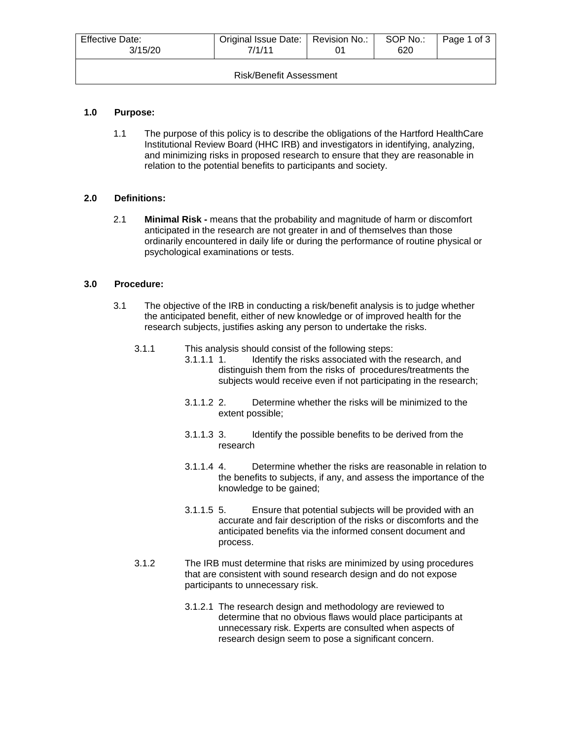| <b>Effective Date:</b><br>3/15/20 | Original Issue Date:   Revision No.:<br>7/1/11 |  | SOP No.:<br>620 | Page 1 of 3 |  |
|-----------------------------------|------------------------------------------------|--|-----------------|-------------|--|
| Risk/Benefit Assessment           |                                                |  |                 |             |  |

## **1.0 Purpose:**

1.1 The purpose of this policy is to describe the obligations of the Hartford HealthCare Institutional Review Board (HHC IRB) and investigators in identifying, analyzing, and minimizing risks in proposed research to ensure that they are reasonable in relation to the potential benefits to participants and society.

## **2.0 Definitions:**

2.1 **Minimal Risk -** means that the probability and magnitude of harm or discomfort anticipated in the research are not greater in and of themselves than those ordinarily encountered in daily life or during the performance of routine physical or psychological examinations or tests.

## **3.0 Procedure:**

- 3.1 The objective of the IRB in conducting a risk/benefit analysis is to judge whether the anticipated benefit, either of new knowledge or of improved health for the research subjects, justifies asking any person to undertake the risks.
	- 3.1.1 This analysis should consist of the following steps:
		- 3.1.1.1 1. Identify the risks associated with the research, and distinguish them from the risks of procedures/treatments the subjects would receive even if not participating in the research;
		- 3.1.1.2 2. Determine whether the risks will be minimized to the extent possible;
		- 3.1.1.3 3. Identify the possible benefits to be derived from the research
		- 3.1.1.4 4. Determine whether the risks are reasonable in relation to the benefits to subjects, if any, and assess the importance of the knowledge to be gained;
		- 3.1.1.5 5. Ensure that potential subjects will be provided with an accurate and fair description of the risks or discomforts and the anticipated benefits via the informed consent document and process.
	- 3.1.2 The IRB must determine that risks are minimized by using procedures that are consistent with sound research design and do not expose participants to unnecessary risk.
		- 3.1.2.1 The research design and methodology are reviewed to determine that no obvious flaws would place participants at unnecessary risk. Experts are consulted when aspects of research design seem to pose a significant concern.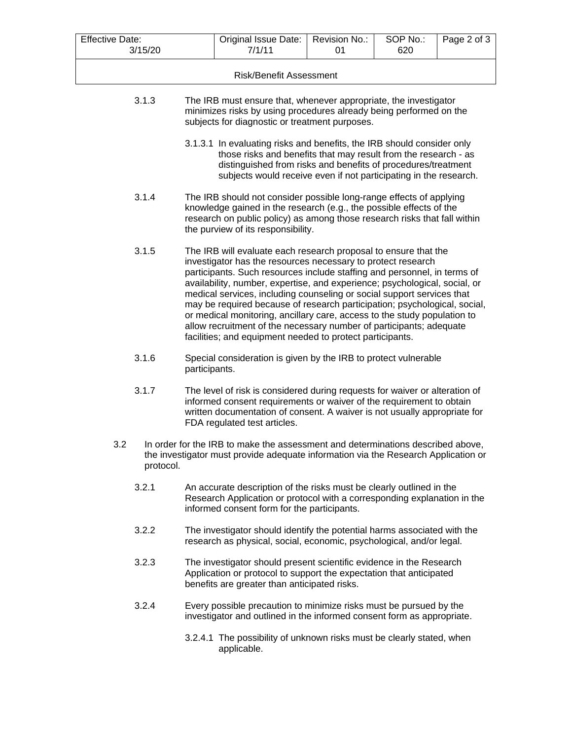| <b>Effective Date:</b> |                                                                                                                                                                                                                                                               | Original Issue Date:<br>7/1/11                                                                                                                                                                                                                                                                                                                                                                                                                                                                                                                                                                                                                                   | Revision No.: | SOP No.: | Page 2 of 3 |
|------------------------|---------------------------------------------------------------------------------------------------------------------------------------------------------------------------------------------------------------------------------------------------------------|------------------------------------------------------------------------------------------------------------------------------------------------------------------------------------------------------------------------------------------------------------------------------------------------------------------------------------------------------------------------------------------------------------------------------------------------------------------------------------------------------------------------------------------------------------------------------------------------------------------------------------------------------------------|---------------|----------|-------------|
|                        | 3/15/20                                                                                                                                                                                                                                                       |                                                                                                                                                                                                                                                                                                                                                                                                                                                                                                                                                                                                                                                                  | 01            | 620      |             |
|                        |                                                                                                                                                                                                                                                               | <b>Risk/Benefit Assessment</b>                                                                                                                                                                                                                                                                                                                                                                                                                                                                                                                                                                                                                                   |               |          |             |
| 3.1.3                  | The IRB must ensure that, whenever appropriate, the investigator<br>minimizes risks by using procedures already being performed on the<br>subjects for diagnostic or treatment purposes.                                                                      |                                                                                                                                                                                                                                                                                                                                                                                                                                                                                                                                                                                                                                                                  |               |          |             |
|                        |                                                                                                                                                                                                                                                               | 3.1.3.1 In evaluating risks and benefits, the IRB should consider only<br>those risks and benefits that may result from the research - as<br>distinguished from risks and benefits of procedures/treatment<br>subjects would receive even if not participating in the research.                                                                                                                                                                                                                                                                                                                                                                                  |               |          |             |
| 3.1.4                  | The IRB should not consider possible long-range effects of applying<br>knowledge gained in the research (e.g., the possible effects of the<br>research on public policy) as among those research risks that fall within<br>the purview of its responsibility. |                                                                                                                                                                                                                                                                                                                                                                                                                                                                                                                                                                                                                                                                  |               |          |             |
| 3.1.5                  |                                                                                                                                                                                                                                                               | The IRB will evaluate each research proposal to ensure that the<br>investigator has the resources necessary to protect research<br>participants. Such resources include staffing and personnel, in terms of<br>availability, number, expertise, and experience; psychological, social, or<br>medical services, including counseling or social support services that<br>may be required because of research participation; psychological, social,<br>or medical monitoring, ancillary care, access to the study population to<br>allow recruitment of the necessary number of participants; adequate<br>facilities; and equipment needed to protect participants. |               |          |             |
| 3.1.6                  | Special consideration is given by the IRB to protect vulnerable<br>participants.                                                                                                                                                                              |                                                                                                                                                                                                                                                                                                                                                                                                                                                                                                                                                                                                                                                                  |               |          |             |
| 3.1.7                  |                                                                                                                                                                                                                                                               | The level of risk is considered during requests for waiver or alteration of<br>informed consent requirements or waiver of the requirement to obtain<br>written documentation of consent. A waiver is not usually appropriate for<br>FDA regulated test articles.                                                                                                                                                                                                                                                                                                                                                                                                 |               |          |             |
| 3.2<br>protocol.       | In order for the IRB to make the assessment and determinations described above,<br>the investigator must provide adequate information via the Research Application or                                                                                         |                                                                                                                                                                                                                                                                                                                                                                                                                                                                                                                                                                                                                                                                  |               |          |             |
| 3.2.1                  |                                                                                                                                                                                                                                                               | An accurate description of the risks must be clearly outlined in the<br>Research Application or protocol with a corresponding explanation in the<br>informed consent form for the participants.                                                                                                                                                                                                                                                                                                                                                                                                                                                                  |               |          |             |
| 3.2.2                  |                                                                                                                                                                                                                                                               | The investigator should identify the potential harms associated with the<br>research as physical, social, economic, psychological, and/or legal.                                                                                                                                                                                                                                                                                                                                                                                                                                                                                                                 |               |          |             |
| 3.2.3                  |                                                                                                                                                                                                                                                               | The investigator should present scientific evidence in the Research<br>Application or protocol to support the expectation that anticipated<br>benefits are greater than anticipated risks.                                                                                                                                                                                                                                                                                                                                                                                                                                                                       |               |          |             |
| 3.2.4                  |                                                                                                                                                                                                                                                               | Every possible precaution to minimize risks must be pursued by the<br>investigator and outlined in the informed consent form as appropriate.                                                                                                                                                                                                                                                                                                                                                                                                                                                                                                                     |               |          |             |
|                        |                                                                                                                                                                                                                                                               | 3.2.4.1 The possibility of unknown risks must be clearly stated, when<br>applicable.                                                                                                                                                                                                                                                                                                                                                                                                                                                                                                                                                                             |               |          |             |